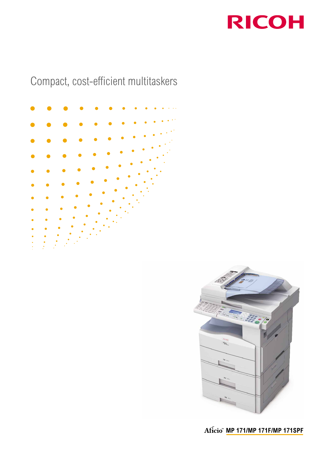

## Compact, cost-efficient multitaskers





**MP 171/MP 171F/MP 171SPF**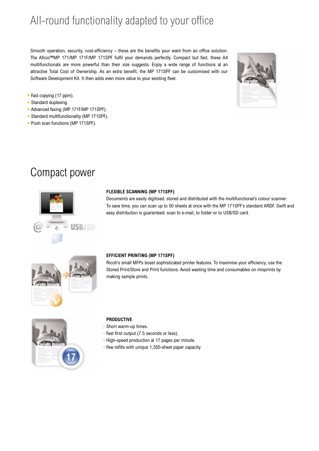# All-round functionality adapted to your office

Smooth operation, security, cost-efficiency – these are the benefits your want from an office solution. The Aficio™MP 171/MP 171F/MP 171SPF fulfil your demands perfectly. Compact but fast, these A4 multifunctionals are more powerful than their size suggests. Enjoy a wide range of functions at an attractive Total Cost of Ownership. As an extra benefit, the MP 171SPF can be customised with our Software Development Kit. It then adds even more value to your existing fleet.



- Fast copying (17 ppm).
- Standard duplexing.
- Advanced faxing (MP 171F/MP 171SPF).
- Standard multifunctionality (MP 171SPF).
- Push scan functions (MP 171SPF).

### Compact power



#### **FLEXIBLE SCANNING (MP 171SPF)**

Documents are easily digitised, stored and distributed with the multifunctional's colour scanner. To save time, you can scan up to 50 sheets at once with the MP 171SPF's standard ARDF. Swift and easy distribution is guaranteed: scan to e-mail, to folder or to USB/SD card.



#### **EFFICIENT PRINTING (MP 171SPF)**

Ricoh's small MFPs boast sophisticated printer features. To maximise your efficiency, use the Stored Print/Store and Print functions. Avoid wasting time and consumables on misprints by making sample prints.



#### **PRODUCTIVE**

- Short warm-up times.
- Fast first output (7.5 seconds or less).
- High-speed production at 17 pages per minute.
- Few refills with unique 1,350-sheet paper capacity.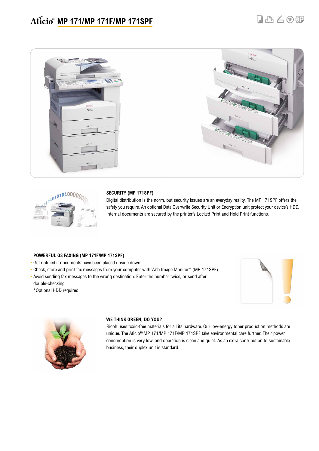



#### **SECURITY (MP 171SPF)**

Digital distribution is the norm, but security issues are an everyday reality. The MP 171SPF offers the safety you require. An optional Data Overwrite Security Unit or Encryption unit protect your device's HDD. Internal documents are secured by the printer's Locked Print and Hold Print functions.

#### **POWERFUL G3 FAXING (MP 171F/MP 171SPF)**

- Get notified if documents have been placed upside down.
- Check, store and print fax messages from your computer with Web Image Monitor\* (MP 171SPF).
- Avoid sending fax messages to the wrong destination. Enter the number twice, or send after double-checking.
- \*Optional HDD required.





#### **WE THINK GREEN, DO YOU?**

Ricoh uses toxic-free materials for all its hardware. Our low-energy toner production methods are unique. The Aficio™MP 171/MP 171F/MP 171SPF take environmental care further. Their power consumption is very low, and operation is clean and quiet. As an extra contribution to sustainable business, their duplex unit is standard.